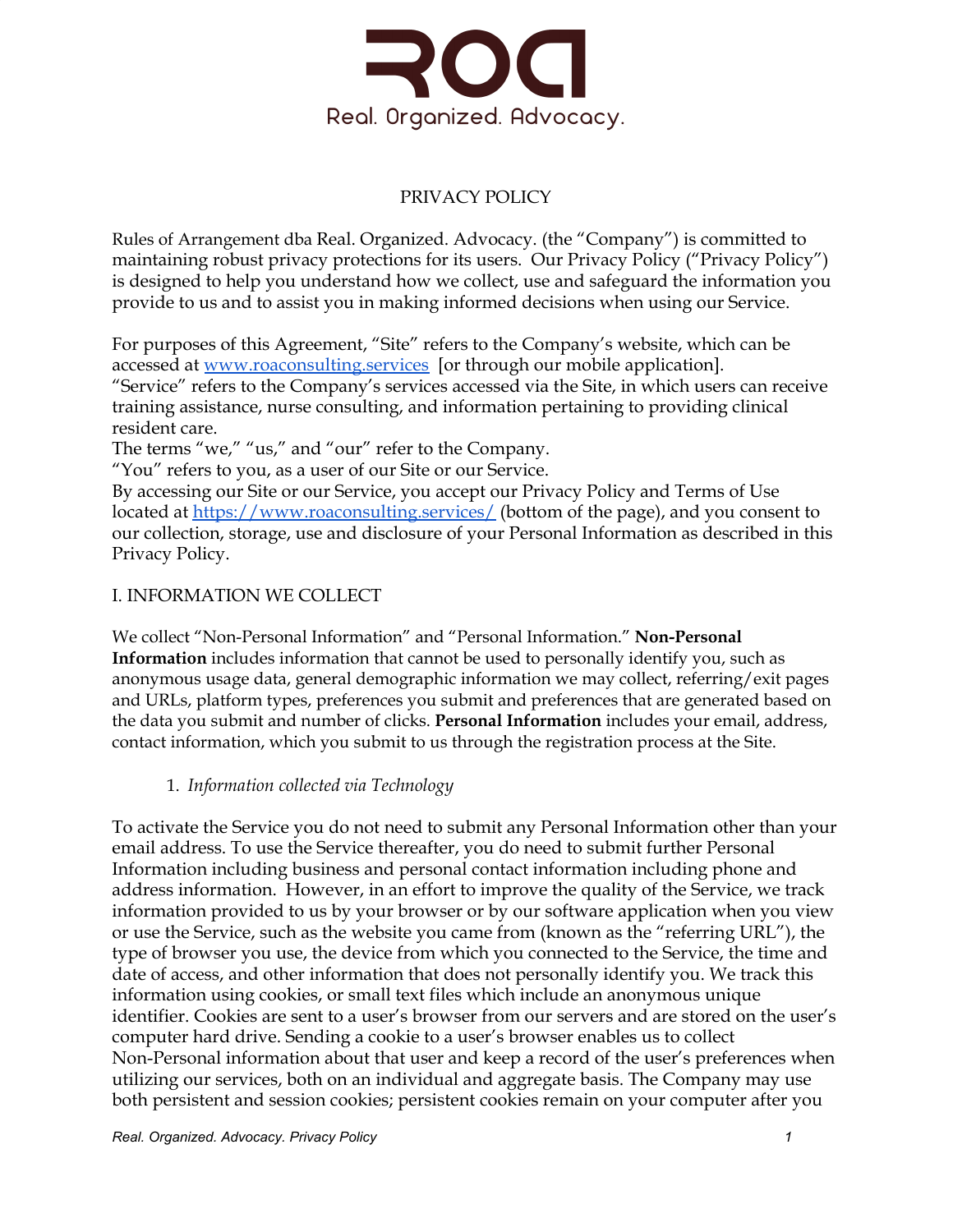

# PRIVACY POLICY

Rules of Arrangement dba Real. Organized. Advocacy. (the "Company") is committed to maintaining robust privacy protections for its users. Our Privacy Policy ("Privacy Policy") is designed to help you understand how we collect, use and safeguard the information you provide to us and to assist you in making informed decisions when using our Service.

For purposes of this Agreement, "Site" refers to the Company's website, which can be accessed at [www.roaconsulting.services](http://www.inursedelegate.com/) [or through our mobile application]. "Service" refers to the Company's services accessed via the Site, in which users can receive training assistance, nurse consulting, and information pertaining to providing clinical resident care.

The terms "we," "us," and "our" refer to the Company.

"You" refers to you, as a user of our Site or our Service.

By accessing our Site or our Service, you accept our Privacy Policy and Terms of Use located at [https://www.roaconsulting.services/](https://www.inursedelegate.com/) (bottom of the page), and you consent to our collection, storage, use and disclosure of your Personal Information as described in this Privacy Policy.

## I. INFORMATION WE COLLECT

We collect "Non-Personal Information" and "Personal Information." **Non-Personal Information** includes information that cannot be used to personally identify you, such as anonymous usage data, general demographic information we may collect, referring/exit pages and URLs, platform types, preferences you submit and preferences that are generated based on the data you submit and number of clicks. **Personal Information** includes your email, address, contact information, which you submit to us through the registration process at the Site.

## 1. *Information collected via Technology*

To activate the Service you do not need to submit any Personal Information other than your email address. To use the Service thereafter, you do need to submit further Personal Information including business and personal contact information including phone and address information. However, in an effort to improve the quality of the Service, we track information provided to us by your browser or by our software application when you view or use the Service, such as the website you came from (known as the "referring URL"), the type of browser you use, the device from which you connected to the Service, the time and date of access, and other information that does not personally identify you. We track this information using cookies, or small text files which include an anonymous unique identifier. Cookies are sent to a user's browser from our servers and are stored on the user's computer hard drive. Sending a cookie to a user's browser enables us to collect Non-Personal information about that user and keep a record of the user's preferences when utilizing our services, both on an individual and aggregate basis. The Company may use both persistent and session cookies; persistent cookies remain on your computer after you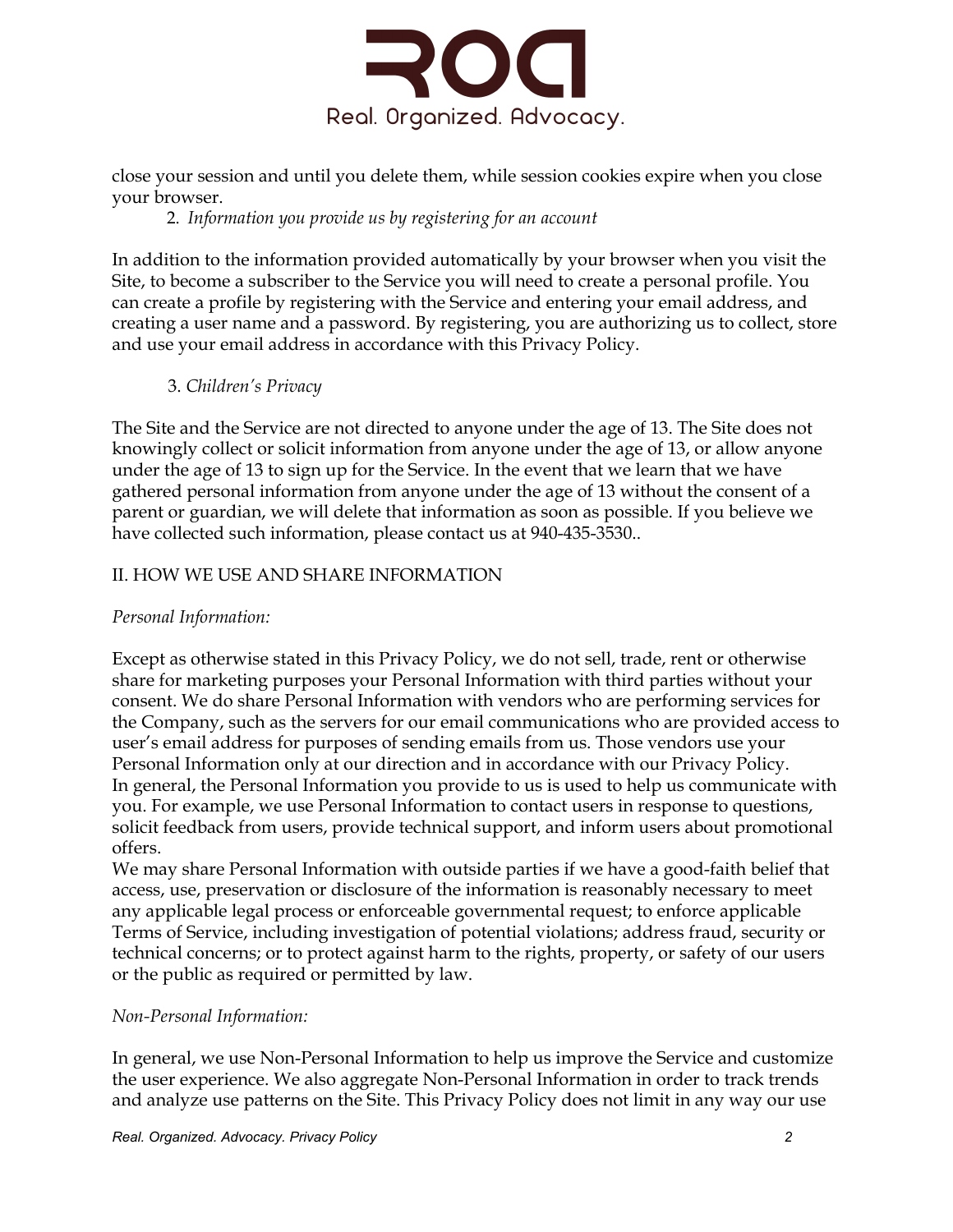

close your session and until you delete them, while session cookies expire when you close your browser.

### 2. *Information you provide us by registering for an account*

In addition to the information provided automatically by your browser when you visit the Site, to become a subscriber to the Service you will need to create a personal profile. You can create a profile by registering with the Service and entering your email address, and creating a user name and a password. By registering, you are authorizing us to collect, store and use your email address in accordance with this Privacy Policy.

### 3. *Children's Privacy*

The Site and the Service are not directed to anyone under the age of 13. The Site does not knowingly collect or solicit information from anyone under the age of 13, or allow anyone under the age of 13 to sign up for the Service. In the event that we learn that we have gathered personal information from anyone under the age of 13 without the consent of a parent or guardian, we will delete that information as soon as possible. If you believe we have collected such information, please contact us at 940-435-3530..

## II. HOW WE USE AND SHARE INFORMATION

### *Personal Information:*

Except as otherwise stated in this Privacy Policy, we do not sell, trade, rent or otherwise share for marketing purposes your Personal Information with third parties without your consent. We do share Personal Information with vendors who are performing services for the Company, such as the servers for our email communications who are provided access to user's email address for purposes of sending emails from us. Those vendors use your Personal Information only at our direction and in accordance with our Privacy Policy. In general, the Personal Information you provide to us is used to help us communicate with you. For example, we use Personal Information to contact users in response to questions, solicit feedback from users, provide technical support, and inform users about promotional offers.

We may share Personal Information with outside parties if we have a good-faith belief that access, use, preservation or disclosure of the information is reasonably necessary to meet any applicable legal process or enforceable governmental request; to enforce applicable Terms of Service, including investigation of potential violations; address fraud, security or technical concerns; or to protect against harm to the rights, property, or safety of our users or the public as required or permitted by law.

#### *Non-Personal Information:*

In general, we use Non-Personal Information to help us improve the Service and customize the user experience. We also aggregate Non-Personal Information in order to track trends and analyze use patterns on the Site. This Privacy Policy does not limit in any way our use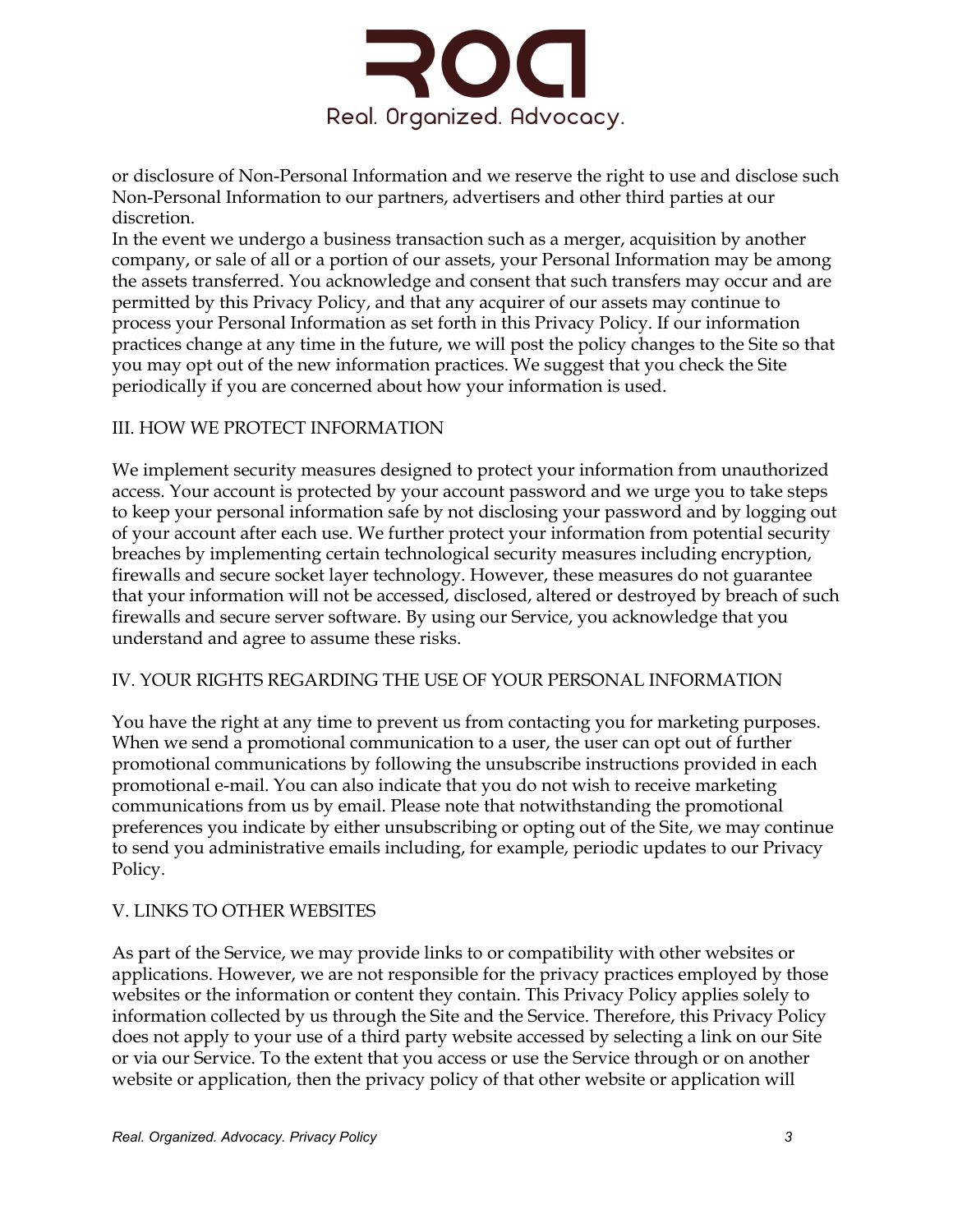

or disclosure of Non-Personal Information and we reserve the right to use and disclose such Non-Personal Information to our partners, advertisers and other third parties at our discretion.

In the event we undergo a business transaction such as a merger, acquisition by another company, or sale of all or a portion of our assets, your Personal Information may be among the assets transferred. You acknowledge and consent that such transfers may occur and are permitted by this Privacy Policy, and that any acquirer of our assets may continue to process your Personal Information as set forth in this Privacy Policy. If our information practices change at any time in the future, we will post the policy changes to the Site so that you may opt out of the new information practices. We suggest that you check the Site periodically if you are concerned about how your information is used.

### III. HOW WE PROTECT INFORMATION

We implement security measures designed to protect your information from unauthorized access. Your account is protected by your account password and we urge you to take steps to keep your personal information safe by not disclosing your password and by logging out of your account after each use. We further protect your information from potential security breaches by implementing certain technological security measures including encryption, firewalls and secure socket layer technology. However, these measures do not guarantee that your information will not be accessed, disclosed, altered or destroyed by breach of such firewalls and secure server software. By using our Service, you acknowledge that you understand and agree to assume these risks.

#### IV. YOUR RIGHTS REGARDING THE USE OF YOUR PERSONAL INFORMATION

You have the right at any time to prevent us from contacting you for marketing purposes. When we send a promotional communication to a user, the user can opt out of further promotional communications by following the unsubscribe instructions provided in each promotional e-mail. You can also indicate that you do not wish to receive marketing communications from us by email. Please note that notwithstanding the promotional preferences you indicate by either unsubscribing or opting out of the Site, we may continue to send you administrative emails including, for example, periodic updates to our Privacy Policy.

## V. LINKS TO OTHER WEBSITES

As part of the Service, we may provide links to or compatibility with other websites or applications. However, we are not responsible for the privacy practices employed by those websites or the information or content they contain. This Privacy Policy applies solely to information collected by us through the Site and the Service. Therefore, this Privacy Policy does not apply to your use of a third party website accessed by selecting a link on our Site or via our Service. To the extent that you access or use the Service through or on another website or application, then the privacy policy of that other website or application will